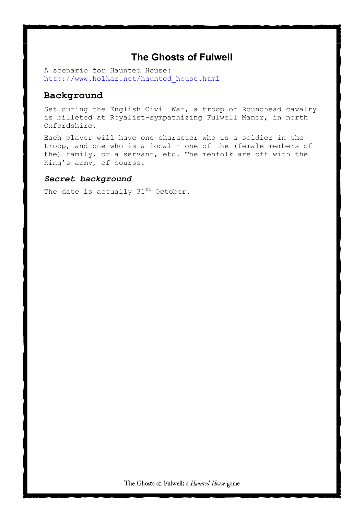#### **The Ghosts of Fulwell**

A scenario for Haunted House: [http://www.holkar.net/haunted\\_house.html](http://www.holkar.net/haunted_house.html)

#### **Background**

Set during the English Civil War, a troop of Roundhead cavalry is billeted at Royalist-sympathizing Fulwell Manor, in north Oxfordshire.

Each player will have one character who is a soldier in the troop, and one who is a local – one of the (female members of the) family, or a servant, etc. The menfolk are off with the King's army, of course.

#### *Secret background*

The date is actually 31<sup>st</sup> October.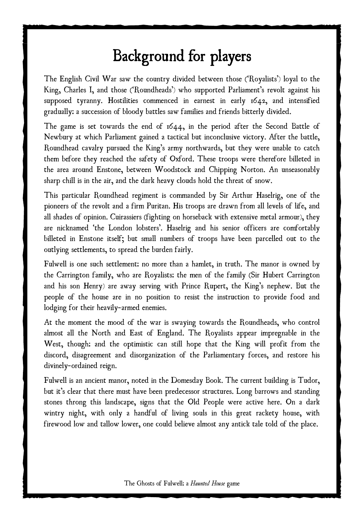### Background for players

The English Civil War saw the country divided between those ('Royalists') loyal to the King, Charles I, and those ('Roundheads') who supported Parliament's revolt against his supposed tyranny. Hostilities commenced in earnest in early 1642, and intensified gradually: a succession of bloody battles saw families and friends bitterly divided.

The game is set towards the end of 1644, in the period after the Second Battle of Newbury at which Parliament gained a tactical but inconclusive victory. After the battle, Roundhead cavalry pursued the King's army northwards, but they were unable to catch them before they reached the safety of Oxford. These troops were therefore billeted in the area around Enstone, between Woodstock and Chipping Norton. An unseasonably sharp chill is in the air, and the dark heavy clouds hold the threat of snow.

This particular Roundhead regiment is commanded by Sir Arthur Haselrig, one of the pioneers of the revolt and a firm Puritan. His troops are drawn from all levels of life, and all shades of opinion. Cuirassiers (fighting on horseback with extensive metal armour), they are nicknamed 'the London lobsters'. Haselrig and his senior officers are comfortably billeted in Enstone itself; but small numbers of troops have been parcelled out to the outlying settlements, to spread the burden fairly.

Fulwell is one such settlement: no more than a hamlet, in truth. The manor is owned by the Carrington family, who are Royalists: the men of the family (Sir Hubert Carrington and his son Henry) are away serving with Prince Rupert, the King's nephew. But the people of the house are in no position to resist the instruction to provide food and lodging for their heavily-armed enemies.

At the moment the mood of the war is swaying towards the Roundheads, who control almost all the North and East of England. The Royalists appear impregnable in the West, though: and the optimistic can still hope that the King will profit from the discord, disagreement and disorganization of the Parliamentary forces, and restore his divinely-ordained reign.

Fulwell is an ancient manor, noted in the Domesday Book. The current building is Tudor, but it's clear that there must have been predecessor structures. Long barrows and standing stones throng this landscape, signs that the Old People were active here. On a dark wintry night, with only a handful of living souls in this great rackety house, with firewood low and tallow lower, one could believe almost any antick tale told of the place.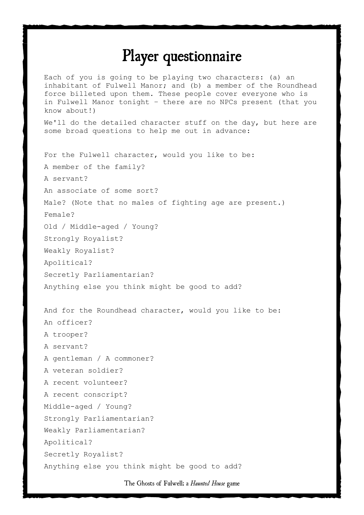### Player questionnaire

Each of you is going to be playing two characters: (a) an inhabitant of Fulwell Manor; and (b) a member of the Roundhead force billeted upon them. These people cover everyone who is in Fulwell Manor tonight – there are no NPCs present (that you know about!)

We'll do the detailed character stuff on the day, but here are some broad questions to help me out in advance:

For the Fulwell character, would you like to be: A member of the family? A servant? An associate of some sort? Male? (Note that no males of fighting age are present.) Female? Old / Middle-aged / Young? Strongly Royalist? Weakly Royalist? Apolitical? Secretly Parliamentarian? Anything else you think might be good to add? And for the Roundhead character, would you like to be: An officer? A trooper? A servant? A gentleman / A commoner? A veteran soldier? A recent volunteer? A recent conscript? Middle-aged / Young? Strongly Parliamentarian? Weakly Parliamentarian? Apolitical? Secretly Royalist?

Anything else you think might be good to add?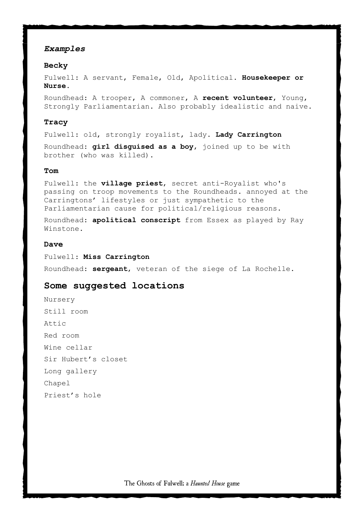#### *Examples*

#### **Becky**

Fulwell: A servant, Female, Old, Apolitical. **Housekeeper or Nurse.**

Roundhead: A trooper, A commoner, A **recent volunteer**, Young, Strongly Parliamentarian. Also probably idealistic and naive.

#### **Tracy**

Fulwell: old, strongly royalist, lady. **Lady Carrington**

Roundhead: **girl disguised as a boy**, joined up to be with brother (who was killed).

#### **Tom**

Fulwell: the **village priest**, secret anti-Royalist who's passing on troop movements to the Roundheads. annoyed at the Carringtons' lifestyles or just sympathetic to the Parliamentarian cause for political/religious reasons.

Roundhead: **apolitical conscript** from Essex as played by Ray Winstone.

#### **Dave**

Fulwell: **Miss Carrington** Roundhead: **sergeant**, veteran of the siege of La Rochelle.

#### **Some suggested locations**

Nursery Still room Attic Red room Wine cellar Sir Hubert's closet Long gallery Chapel Priest's hole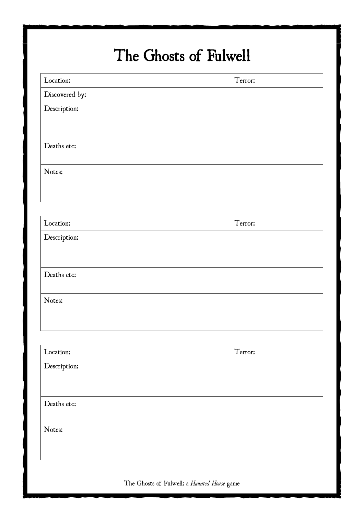## The Ghosts of Fulwell

| Location:      | Terror: |
|----------------|---------|
| Discovered by: |         |
| Description:   |         |
|                |         |
|                |         |
| Deaths etc:    |         |
|                |         |
| Notes:         |         |
|                |         |
|                |         |

| Location:    | Terror: |
|--------------|---------|
| Description: |         |
|              |         |
|              |         |
| Deaths etc:  |         |
|              |         |
| Notes:       |         |
|              |         |
|              |         |

| Location:    | Terror: |
|--------------|---------|
| Description: |         |
|              |         |
|              |         |
| Deaths etc:  |         |
|              |         |
| Notes:       |         |
|              |         |
|              |         |
|              |         |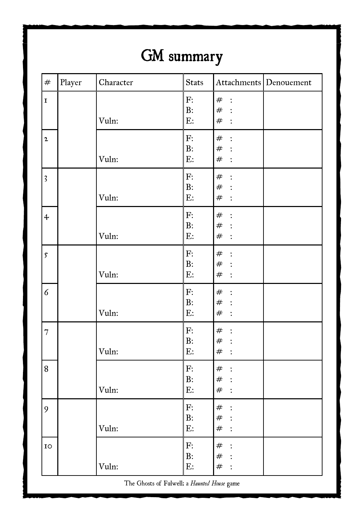# GM summary

| $\#$                    | Player | Character | Stats                                                     |                                       | Attachments Denouement |
|-------------------------|--------|-----------|-----------------------------------------------------------|---------------------------------------|------------------------|
| $\mathbf I$             |        | Vuln:     | F:<br>B:<br>E:                                            | $#$ :<br>$#$ :<br>$#$ :               |                        |
| $\mathbf{2}$            |        | Vuln:     | F:<br>B:<br>E:                                            | $#$ :<br>$#$ :<br>$#$ :               |                        |
| $\overline{\mathbf{3}}$ |        | Vuln:     | F:<br>B:<br>E:                                            | $\#$ :<br>$#$ :<br>$#$ :              |                        |
| $\ddot{\mathcal{L}}$    |        | Vuln:     | F:<br>B:<br>E:                                            | $#$ :<br>$#$ :<br>$#$ :               |                        |
| $\tilde{\mathcal{S}}$   |        | Vuln:     | F:<br>B:<br>E:                                            | $#$ :<br>$#$ :<br>$#$ :               |                        |
| $\delta$                |        | Vuln:     | F:<br>B:<br>E:                                            | $#$ :<br>$#$ :<br>$#$ :               |                        |
| $\overline{7}$          |        | Vuln:     | $\mathbf{F:}% \mathbb{R}^{d}\times\mathbb{R}$<br>B:<br>E: | $#$ :<br>$#$ :<br>$#$ :               |                        |
| 8                       |        | Vuln:     | F:<br>B:<br>E:                                            | $#$ :<br>$#$ :<br>$#$ :               |                        |
| 9                       |        | Vuln:     | F:<br>B:<br>E:                                            | $#$ :<br>$#$ :<br>$#$ :               |                        |
| ${\bf IO}$              |        | Vuln:     | F:<br>B:<br>$E$ :                                         | #<br>$\ddot{\cdot}$<br>$#$ :<br>$#$ : |                        |